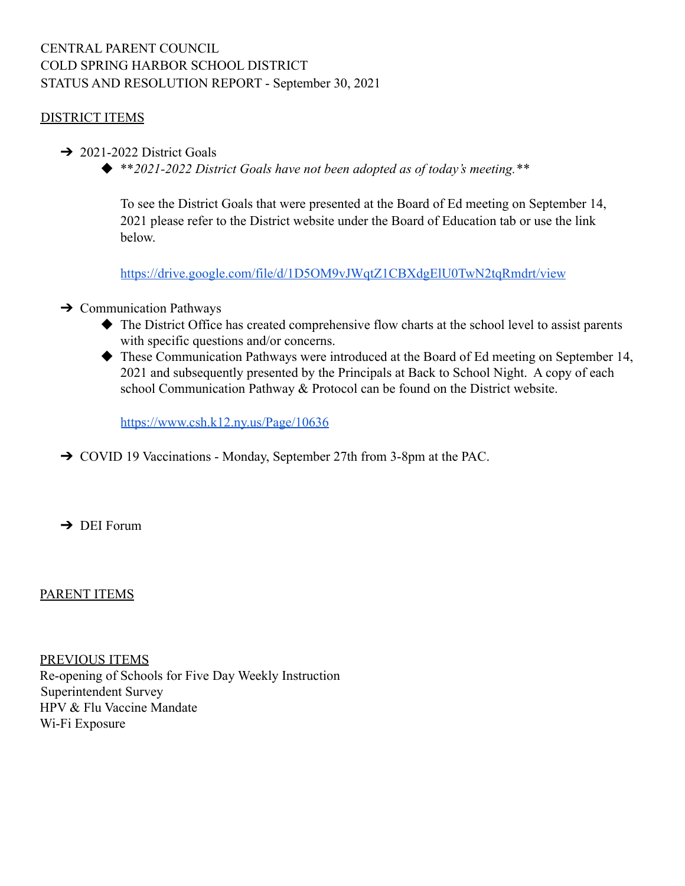## CENTRAL PARENT COUNCIL COLD SPRING HARBOR SCHOOL DISTRICT STATUS AND RESOLUTION REPORT - September 30, 2021

## DISTRICT ITEMS

- $\rightarrow$  2021-2022 District Goals
	- ◆ \*\**2021-2022 District Goals have not been adopted as of today's meeting.\*\**

To see the District Goals that were presented at the Board of Ed meeting on September 14, 2021 please refer to the District website under the Board of Education tab or use the link below.

<https://drive.google.com/file/d/1D5OM9vJWqtZ1CBXdgElU0TwN2tqRmdrt/view>

- $\rightarrow$  Communication Pathways
	- ◆ The District Office has created comprehensive flow charts at the school level to assist parents with specific questions and/or concerns.
	- ◆ These Communication Pathways were introduced at the Board of Ed meeting on September 14, 2021 and subsequently presented by the Principals at Back to School Night. A copy of each school Communication Pathway & Protocol can be found on the District website.

<https://www.csh.k12.ny.us/Page/10636>

- ➔ COVID 19 Vaccinations Monday, September 27th from 3-8pm at the PAC.
- $\rightarrow$  DEI Forum

PARENT ITEMS

PREVIOUS ITEMS Re-opening of Schools for Five Day Weekly Instruction Superintendent Survey HPV & Flu Vaccine Mandate Wi-Fi Exposure